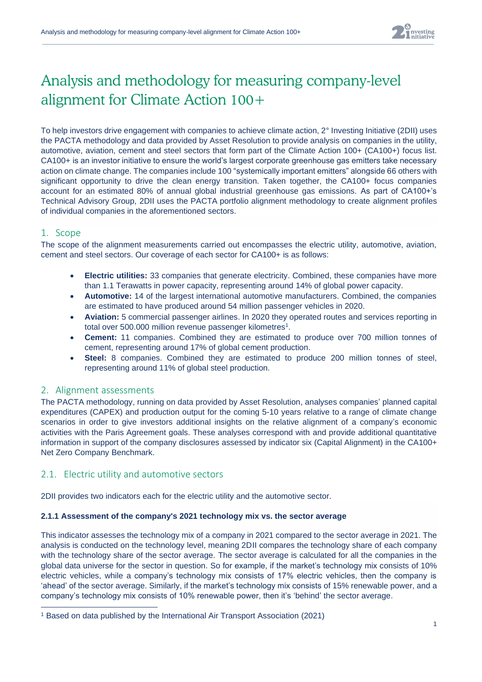

# Analysis and methodology for measuring company-level alignment for Climate Action 100+

To help investors drive engagement with companies to achieve climate action, 2° Investing Initiative (2DII) uses the PACTA methodology and data provided by Asset Resolution to provide analysis on companies in the utility, automotive, aviation, cement and steel sectors that form part of the Climate Action 100+ (CA100+) focus list. [CA100+](http://www.climateaction100.org/) is an investor initiative to ensure the world's largest corporate greenhouse gas emitters take necessary action on climate change. The companies include 100 "systemically important emitters" alongside 66 others with significant opportunity to drive the clean energy transition. Taken together, the CA100+ focus companies account for an estimated 80% of annual global industrial greenhouse gas emissions. As part of CA100+'s Technical Advisory Group, 2DII uses the [PACTA](https://2degrees.okaia.dev/resource/pacta/) portfolio alignment methodology to create alignment profiles of individual companies in the aforementioned sectors.

# 1. Scope

The scope of the alignment measurements carried out encompasses the electric utility, automotive, aviation, cement and steel sectors. Our coverage of each sector for CA100+ is as follows:

- **Electric utilities:** 33 companies that generate electricity. Combined, these companies have more than 1.1 Terawatts in power capacity, representing around 14% of global power capacity.
- **Automotive:** 14 of the largest international automotive manufacturers. Combined, the companies are estimated to have produced around 54 million passenger vehicles in 2020.
- **Aviation:** 5 commercial passenger airlines. In 2020 they operated routes and services reporting in total over 500.000 million revenue passenger kilometres<sup>1</sup>.
- **Cement:** 11 companies. Combined they are estimated to produce over 700 million tonnes of cement, representing around 17% of global cement production.
- **Steel:** 8 companies. Combined they are estimated to produce 200 million tonnes of steel, representing around 11% of global steel production.

# 2. Alignment assessments

The PACTA methodology, running on data provided by Asset Resolution, analyses companies' planned capital expenditures (CAPEX) and production output for the coming 5-10 years relative to a range of climate change scenarios in order to give investors additional insights on the relative alignment of a company's economic activities with the Paris Agreement goals. These analyses correspond with and provide additional quantitative information in support of the company disclosures assessed by indicator six (Capital Alignment) in the CA100+ Net Zero Company Benchmark.

# 2.1. Electric utility and automotive sectors

2DII provides two indicators each for the electric utility and the automotive sector.

#### **2.1.1 Assessment of the company's 2021 technology mix vs. the sector average**

This indicator assesses the technology mix of a company in 2021 compared to the sector average in 2021. The analysis is conducted on the technology level, meaning 2DII compares the technology share of each company with the technology share of the sector average. The sector average is calculated for all the companies in the global data universe for the sector in question. So for example, if the market's technology mix consists of 10% electric vehicles, while a company's technology mix consists of 17% electric vehicles, then the company is 'ahead' of the sector average. Similarly, if the market's technology mix consists of 15% renewable power, and a company's technology mix consists of 10% renewable power, then it's 'behind' the sector average.

<sup>1</sup> Based on data published by the International Air Transport Association (2021)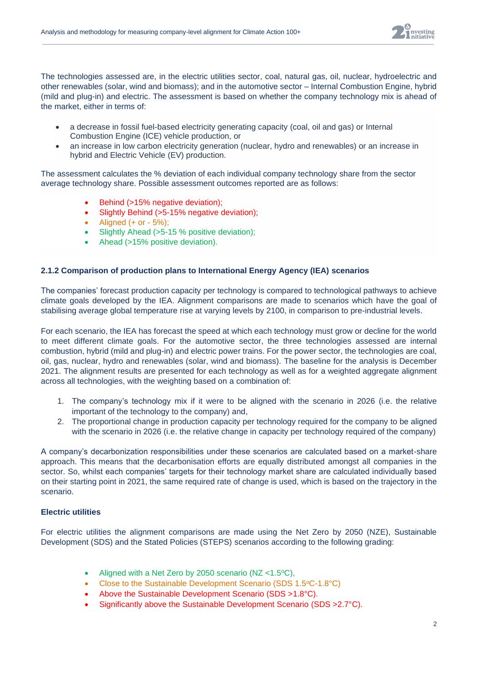

The technologies assessed are, in the electric utilities sector, coal, natural gas, oil, nuclear, hydroelectric and other renewables (solar, wind and biomass); and in the automotive sector – Internal Combustion Engine, hybrid (mild and plug-in) and electric. The assessment is based on whether the company technology mix is ahead of the market, either in terms of:

- a decrease in fossil fuel-based electricity generating capacity (coal, oil and gas) or Internal Combustion Engine (ICE) vehicle production, or
- an increase in low carbon electricity generation (nuclear, hydro and renewables) or an increase in hybrid and Electric Vehicle (EV) production.

The assessment calculates the % deviation of each individual company technology share from the sector average technology share. Possible assessment outcomes reported are as follows:

- Behind (>15% negative deviation);
- Slightly Behind (>5-15% negative deviation);
- Aligned  $(+ or -5\%)$ ;
- Slightly Ahead (>5-15 % positive deviation);
- Ahead (>15% positive deviation).

#### **2.1.2 Comparison of production plans to International Energy Agency (IEA) scenarios**

The companies' forecast production capacity per technology is compared to technological pathways to achieve climate goals developed by the IEA. Alignment comparisons are made to scenarios which have the goal of stabilising average global temperature rise at varying levels by 2100, in comparison to pre-industrial levels.

For each scenario, the IEA has forecast the speed at which each technology must grow or decline for the world to meet different climate goals. For the automotive sector, the three technologies assessed are internal combustion, hybrid (mild and plug-in) and electric power trains. For the power sector, the technologies are coal, oil, gas, nuclear, hydro and renewables (solar, wind and biomass). The baseline for the analysis is December 2021. The alignment results are presented for each technology as well as for a weighted aggregate alignment across all technologies, with the weighting based on a combination of:

- 1. The company's technology mix if it were to be aligned with the scenario in 2026 (i.e. the relative important of the technology to the company) and,
- 2. The proportional change in production capacity per technology required for the company to be aligned with the scenario in 2026 (i.e. the relative change in capacity per technology required of the company)

A company's decarbonization responsibilities under these scenarios are calculated based on a market-share approach. This means that the decarbonisation efforts are equally distributed amongst all companies in the sector. So, whilst each companies' targets for their technology market share are calculated individually based on their starting point in 2021, the same required rate of change is used, which is based on the trajectory in the scenario.

## **Electric utilities**

For electric utilities the alignment comparisons are made using the Net Zero by 2050 (NZE), Sustainable Development (SDS) and the Stated Policies (STEPS) scenarios according to the following grading:

- Aligned with a Net Zero by 2050 scenario ( $NZ < 1.5$ °C),
- Close to the Sustainable Development Scenario (SDS 1.5°C-1.8°C)
- Above the Sustainable Development Scenario (SDS >1.8°C).
- Significantly above the Sustainable Development Scenario (SDS >2.7°C).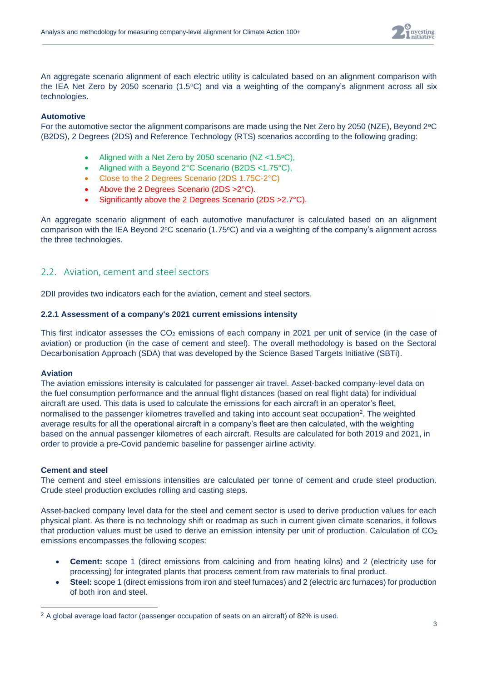

An aggregate scenario alignment of each electric utility is calculated based on an alignment comparison with the IEA Net Zero by 2050 scenario (1.5 $\degree$ C) and via a weighting of the company's alignment across all six technologies.

#### **Automotive**

For the automotive sector the alignment comparisons are made using the Net Zero by 2050 (NZE), Beyond 2°C (B2DS), 2 Degrees (2DS) and Reference Technology (RTS) scenarios according to the following grading:

- Aligned with a Net Zero by 2050 scenario ( $NZ < 1.5°C$ ),
- Aligned with a Beyond 2°C Scenario (B2DS <1.75°C),
- Close to the 2 Degrees Scenario (2DS 1.75C-2°C)
- Above the 2 Degrees Scenario (2DS > 2°C).
- Significantly above the 2 Degrees Scenario (2DS > 2.7°C).

An aggregate scenario alignment of each automotive manufacturer is calculated based on an alignment comparison with the IEA Beyond  $2^{\circ}C$  scenario (1.75 $^{\circ}C$ ) and via a weighting of the company's alignment across the three technologies.

# 2.2. Aviation, cement and steel sectors

2DII provides two indicators each for the aviation, cement and steel sectors.

#### **2.2.1 Assessment of a company's 2021 current emissions intensity**

This first indicator assesses the  $CO<sub>2</sub>$  emissions of each company in 2021 per unit of service (in the case of aviation) or production (in the case of cement and steel). The overall methodology is based on the Sectoral Decarbonisation Approach (SDA) that was developed by the Science Based Targets Initiative (SBTi).

#### **Aviation**

The aviation emissions intensity is calculated for passenger air travel. Asset-backed company-level data on the fuel consumption performance and the annual flight distances (based on real flight data) for individual aircraft are used. This data is used to calculate the emissions for each aircraft in an operator's fleet, normalised to the passenger kilometres travelled and taking into account seat occupation<sup>2</sup>. The weighted average results for all the operational aircraft in a company's fleet are then calculated, with the weighting based on the annual passenger kilometres of each aircraft. Results are calculated for both 2019 and 2021, in order to provide a pre-Covid pandemic baseline for passenger airline activity.

#### **Cement and steel**

The cement and steel emissions intensities are calculated per tonne of cement and crude steel production. Crude steel production excludes rolling and casting steps.

Asset-backed company level data for the steel and cement sector is used to derive production values for each physical plant. As there is no technology shift or roadmap as such in current given climate scenarios, it follows that production values must be used to derive an emission intensity per unit of production. Calculation of  $CO<sub>2</sub>$ emissions encompasses the following scopes:

- **Cement:** scope 1 (direct emissions from calcining and from heating kilns) and 2 (electricity use for processing) for integrated plants that process cement from raw materials to final product.
- **Steel:** scope 1 (direct emissions from iron and steel furnaces) and 2 (electric arc furnaces) for production of both iron and steel.

<sup>&</sup>lt;sup>2</sup> A global average load factor (passenger occupation of seats on an aircraft) of 82% is used.